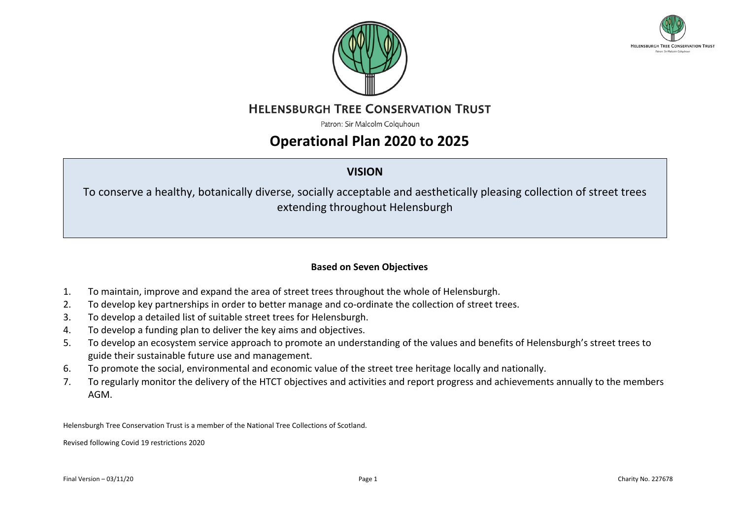



**HELENSBURGH TREE CONSERVATION TRUST** 

Patron: Sir Malcolm Colquhoun

## **Operational Plan 2020 to 2025**

## **VISION**

To conserve a healthy, botanically diverse, socially acceptable and aesthetically pleasing collection of street trees extending throughout Helensburgh

## **Based on Seven Objectives**

- 1. To maintain, improve and expand the area of street trees throughout the whole of Helensburgh.
- 2. To develop key partnerships in order to better manage and co-ordinate the collection of street trees.
- 3. To develop a detailed list of suitable street trees for Helensburgh.
- 4. To develop a funding plan to deliver the key aims and objectives.
- 5. To develop an ecosystem service approach to promote an understanding of the values and benefits of Helensburgh's street trees to guide their sustainable future use and management.
- 6. To promote the social, environmental and economic value of the street tree heritage locally and nationally.
- 7. To regularly monitor the delivery of the HTCT objectives and activities and report progress and achievements annually to the members AGM.

Helensburgh Tree Conservation Trust is a member of the National Tree Collections of Scotland.

Revised following Covid 19 restrictions 2020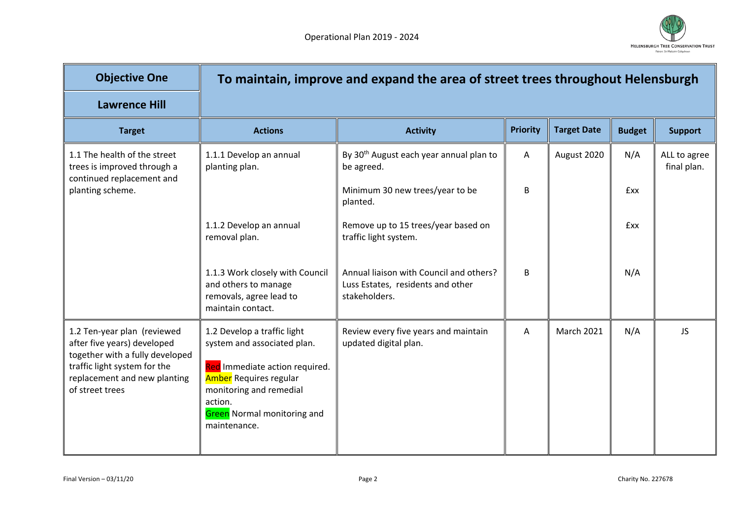

| <b>Objective One</b>                                                                                                                                                             |                                                                                                                                                                                                                           | To maintain, improve and expand the area of street trees throughout Helensburgh               |                 |                    |               |                             |
|----------------------------------------------------------------------------------------------------------------------------------------------------------------------------------|---------------------------------------------------------------------------------------------------------------------------------------------------------------------------------------------------------------------------|-----------------------------------------------------------------------------------------------|-----------------|--------------------|---------------|-----------------------------|
| <b>Lawrence Hill</b>                                                                                                                                                             |                                                                                                                                                                                                                           |                                                                                               |                 |                    |               |                             |
| <b>Target</b>                                                                                                                                                                    | <b>Actions</b>                                                                                                                                                                                                            | <b>Activity</b>                                                                               | <b>Priority</b> | <b>Target Date</b> | <b>Budget</b> | <b>Support</b>              |
| 1.1 The health of the street<br>trees is improved through a<br>continued replacement and<br>planting scheme.                                                                     | 1.1.1 Develop an annual<br>planting plan.                                                                                                                                                                                 | By 30 <sup>th</sup> August each year annual plan to<br>be agreed.                             | A               | August 2020        | N/A           | ALL to agree<br>final plan. |
|                                                                                                                                                                                  |                                                                                                                                                                                                                           | Minimum 30 new trees/year to be<br>planted.                                                   | B               |                    | <b>fxx</b>    |                             |
|                                                                                                                                                                                  | 1.1.2 Develop an annual<br>removal plan.                                                                                                                                                                                  | Remove up to 15 trees/year based on<br>traffic light system.                                  |                 |                    | <b>fxx</b>    |                             |
|                                                                                                                                                                                  | 1.1.3 Work closely with Council<br>and others to manage<br>removals, agree lead to<br>maintain contact.                                                                                                                   | Annual liaison with Council and others?<br>Luss Estates, residents and other<br>stakeholders. | B               |                    | N/A           |                             |
| 1.2 Ten-year plan (reviewed<br>after five years) developed<br>together with a fully developed<br>traffic light system for the<br>replacement and new planting<br>of street trees | 1.2 Develop a traffic light<br>system and associated plan.<br>Red Immediate action required.<br><b>Amber</b> Requires regular<br>monitoring and remedial<br>action.<br><b>Green</b> Normal monitoring and<br>maintenance. | Review every five years and maintain<br>updated digital plan.                                 | $\mathsf{A}$    | <b>March 2021</b>  | N/A           | <b>JS</b>                   |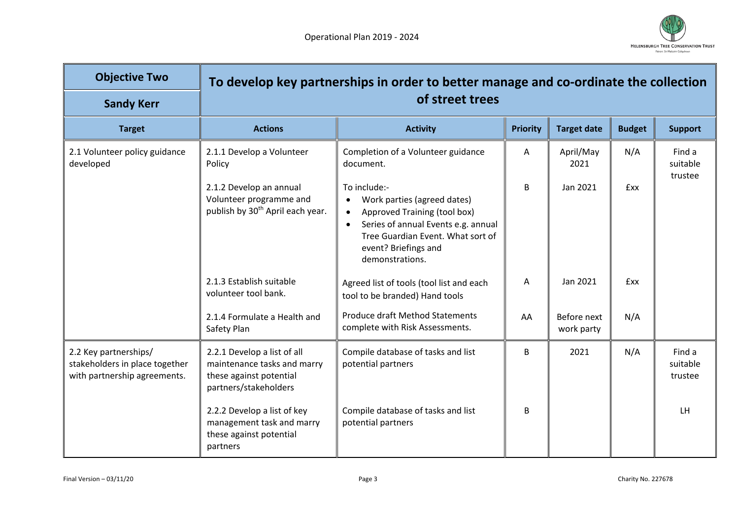

| <b>Objective Two</b>                                                                    |                                                                                                                | To develop key partnerships in order to better manage and co-ordinate the collection                                                                                                                                                      |                 |                           |               |                               |
|-----------------------------------------------------------------------------------------|----------------------------------------------------------------------------------------------------------------|-------------------------------------------------------------------------------------------------------------------------------------------------------------------------------------------------------------------------------------------|-----------------|---------------------------|---------------|-------------------------------|
| <b>Sandy Kerr</b>                                                                       |                                                                                                                | of street trees                                                                                                                                                                                                                           |                 |                           |               |                               |
| <b>Target</b>                                                                           | <b>Actions</b>                                                                                                 | <b>Activity</b>                                                                                                                                                                                                                           | <b>Priority</b> | <b>Target date</b>        | <b>Budget</b> | <b>Support</b>                |
| 2.1 Volunteer policy guidance<br>developed                                              | 2.1.1 Develop a Volunteer<br>Policy                                                                            | Completion of a Volunteer guidance<br>document.                                                                                                                                                                                           | Α               | April/May<br>2021         | N/A           | Find a<br>suitable<br>trustee |
|                                                                                         | 2.1.2 Develop an annual<br>Volunteer programme and<br>publish by 30 <sup>th</sup> April each year.             | To include:-<br>Work parties (agreed dates)<br>$\bullet$<br>Approved Training (tool box)<br>$\bullet$<br>Series of annual Events e.g. annual<br>$\bullet$<br>Tree Guardian Event. What sort of<br>event? Briefings and<br>demonstrations. | B               | Jan 2021                  | <b>fxx</b>    |                               |
|                                                                                         | 2.1.3 Establish suitable<br>volunteer tool bank.                                                               | Agreed list of tools (tool list and each<br>tool to be branded) Hand tools                                                                                                                                                                | A               | Jan 2021                  | <b>fxx</b>    |                               |
|                                                                                         | 2.1.4 Formulate a Health and<br>Safety Plan                                                                    | <b>Produce draft Method Statements</b><br>complete with Risk Assessments.                                                                                                                                                                 | AA              | Before next<br>work party | N/A           |                               |
| 2.2 Key partnerships/<br>stakeholders in place together<br>with partnership agreements. | 2.2.1 Develop a list of all<br>maintenance tasks and marry<br>these against potential<br>partners/stakeholders | Compile database of tasks and list<br>potential partners                                                                                                                                                                                  | B               | 2021                      | N/A           | Find a<br>suitable<br>trustee |
|                                                                                         | 2.2.2 Develop a list of key<br>management task and marry<br>these against potential<br>partners                | Compile database of tasks and list<br>potential partners                                                                                                                                                                                  | B               |                           |               | LH                            |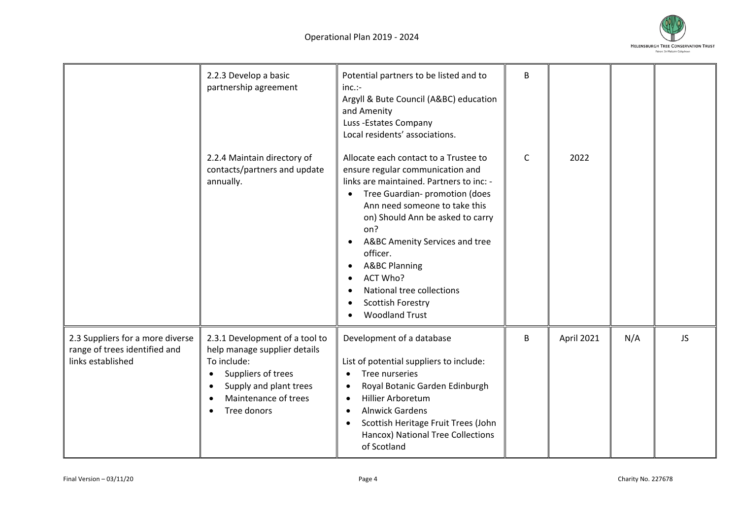

|                                                                                        | 2.2.3 Develop a basic<br>partnership agreement                                                                                                                       | Potential partners to be listed and to<br>$inc.$ :-<br>Argyll & Bute Council (A&BC) education<br>and Amenity<br>Luss -Estates Company<br>Local residents' associations.                                                                                                                                                                                                                                           | B            |            |     |    |
|----------------------------------------------------------------------------------------|----------------------------------------------------------------------------------------------------------------------------------------------------------------------|-------------------------------------------------------------------------------------------------------------------------------------------------------------------------------------------------------------------------------------------------------------------------------------------------------------------------------------------------------------------------------------------------------------------|--------------|------------|-----|----|
|                                                                                        | 2.2.4 Maintain directory of<br>contacts/partners and update<br>annually.                                                                                             | Allocate each contact to a Trustee to<br>ensure regular communication and<br>links are maintained. Partners to inc: -<br>Tree Guardian- promotion (does<br>Ann need someone to take this<br>on) Should Ann be asked to carry<br>on?<br>A&BC Amenity Services and tree<br>officer.<br><b>A&amp;BC Planning</b><br>$\bullet$<br>ACT Who?<br>National tree collections<br>Scottish Forestry<br><b>Woodland Trust</b> | $\mathsf{C}$ | 2022       |     |    |
| 2.3 Suppliers for a more diverse<br>range of trees identified and<br>links established | 2.3.1 Development of a tool to<br>help manage supplier details<br>To include:<br>Suppliers of trees<br>Supply and plant trees<br>Maintenance of trees<br>Tree donors | Development of a database<br>List of potential suppliers to include:<br>Tree nurseries<br>$\bullet$<br>Royal Botanic Garden Edinburgh<br>$\bullet$<br><b>Hillier Arboretum</b><br>$\bullet$<br><b>Alnwick Gardens</b><br>$\bullet$<br>Scottish Heritage Fruit Trees (John<br>$\bullet$<br>Hancox) National Tree Collections<br>of Scotland                                                                        | B            | April 2021 | N/A | JS |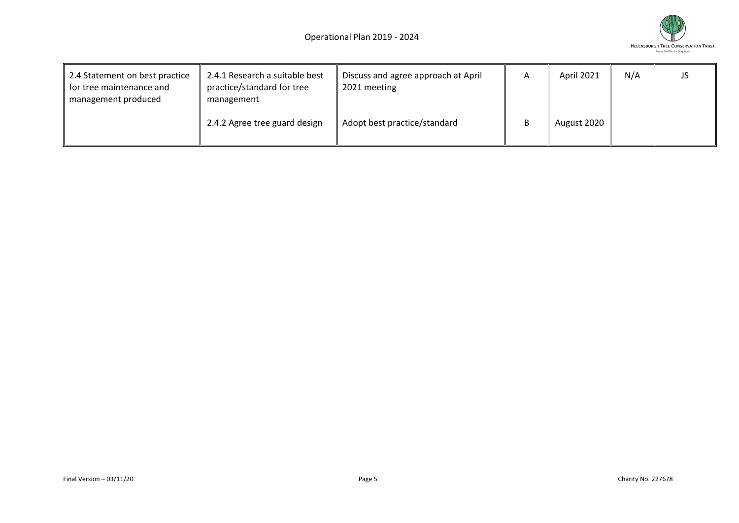

| 2.4 Statement on best practice<br>for tree maintenance and<br>management produced | 2.4.1 Research a suitable best<br>practice/standard for tree<br>management | Discuss and agree approach at April<br>2021 meeting | A | April 2021  | N/A | JS |
|-----------------------------------------------------------------------------------|----------------------------------------------------------------------------|-----------------------------------------------------|---|-------------|-----|----|
|                                                                                   | 2.4.2 Agree tree guard design                                              | Adopt best practice/standard                        |   | August 2020 |     |    |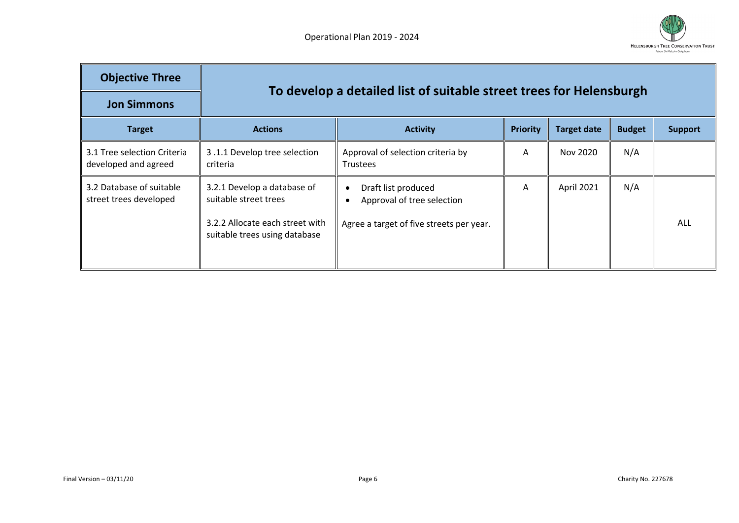

| <b>Objective Three</b>                              |                                                                                                                          | To develop a detailed list of suitable street trees for Helensburgh                                        |                 |                    |               |                |  |  |  |
|-----------------------------------------------------|--------------------------------------------------------------------------------------------------------------------------|------------------------------------------------------------------------------------------------------------|-----------------|--------------------|---------------|----------------|--|--|--|
| <b>Jon Simmons</b>                                  |                                                                                                                          |                                                                                                            |                 |                    |               |                |  |  |  |
| <b>Target</b>                                       | <b>Actions</b>                                                                                                           | <b>Activity</b>                                                                                            | <b>Priority</b> | <b>Target date</b> | <b>Budget</b> | <b>Support</b> |  |  |  |
| 3.1 Tree selection Criteria<br>developed and agreed | 3.1.1 Develop tree selection<br>criteria                                                                                 | Approval of selection criteria by<br><b>Trustees</b>                                                       | A               | Nov 2020           | N/A           |                |  |  |  |
| 3.2 Database of suitable<br>street trees developed  | 3.2.1 Develop a database of<br>suitable street trees<br>3.2.2 Allocate each street with<br>suitable trees using database | Draft list produced<br>$\bullet$<br>Approval of tree selection<br>Agree a target of five streets per year. | A               | April 2021         | N/A           | ALL            |  |  |  |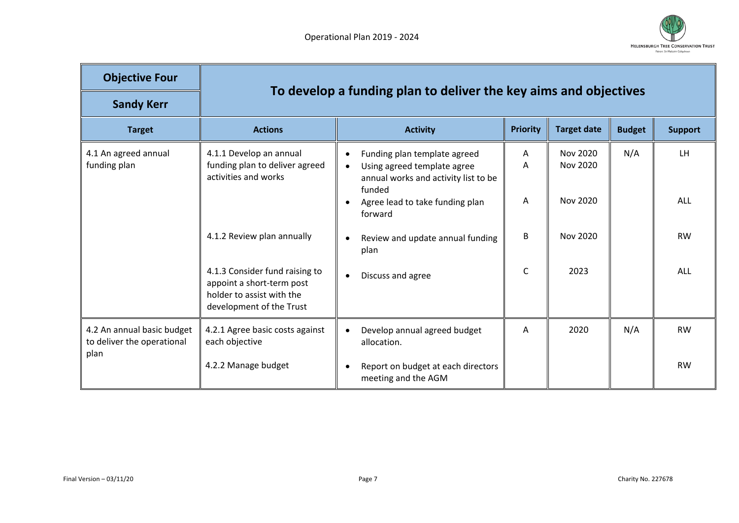

| <b>Objective Four</b><br><b>Sandy Kerr</b>                       |                                                                                                                      | To develop a funding plan to deliver the key aims and objectives                                                                        |                 |                      |               |                |
|------------------------------------------------------------------|----------------------------------------------------------------------------------------------------------------------|-----------------------------------------------------------------------------------------------------------------------------------------|-----------------|----------------------|---------------|----------------|
| <b>Target</b>                                                    | <b>Actions</b>                                                                                                       | <b>Activity</b>                                                                                                                         | <b>Priority</b> | <b>Target date</b>   | <b>Budget</b> | <b>Support</b> |
| 4.1 An agreed annual<br>funding plan                             | 4.1.1 Develop an annual<br>funding plan to deliver agreed<br>activities and works                                    | Funding plan template agreed<br>$\bullet$<br>Using agreed template agree<br>$\bullet$<br>annual works and activity list to be<br>funded | A<br>A          | Nov 2020<br>Nov 2020 | N/A           | LH.            |
|                                                                  |                                                                                                                      | Agree lead to take funding plan<br>٠<br>forward                                                                                         | A               | Nov 2020             |               | <b>ALL</b>     |
|                                                                  | 4.1.2 Review plan annually                                                                                           | Review and update annual funding<br>$\bullet$<br>plan                                                                                   | B               | Nov 2020             |               | <b>RW</b>      |
|                                                                  | 4.1.3 Consider fund raising to<br>appoint a short-term post<br>holder to assist with the<br>development of the Trust | Discuss and agree<br>$\bullet$                                                                                                          | C               | 2023                 |               | ALL            |
| 4.2 An annual basic budget<br>to deliver the operational<br>plan | 4.2.1 Agree basic costs against<br>each objective                                                                    | Develop annual agreed budget<br>$\bullet$<br>allocation.                                                                                | A               | 2020                 | N/A           | <b>RW</b>      |
|                                                                  | 4.2.2 Manage budget                                                                                                  | Report on budget at each directors<br>$\bullet$<br>meeting and the AGM                                                                  |                 |                      |               | <b>RW</b>      |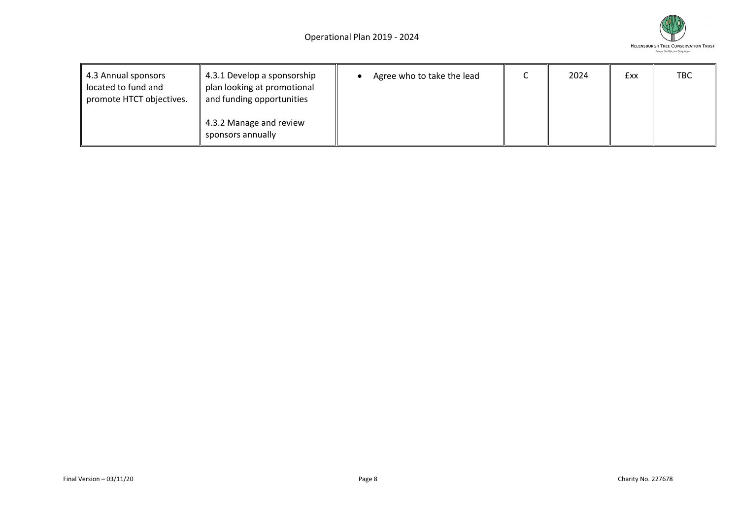

| 4.3 Annual sponsors<br>located to fund and<br>promote HTCT objectives. | 4.3.1 Develop a sponsorship<br>plan looking at promotional<br>and funding opportunities | Agree who to take the lead | 2024 | <b>fxx</b> | <b>TBC</b> |
|------------------------------------------------------------------------|-----------------------------------------------------------------------------------------|----------------------------|------|------------|------------|
|                                                                        | 4.3.2 Manage and review<br>sponsors annually                                            |                            |      |            |            |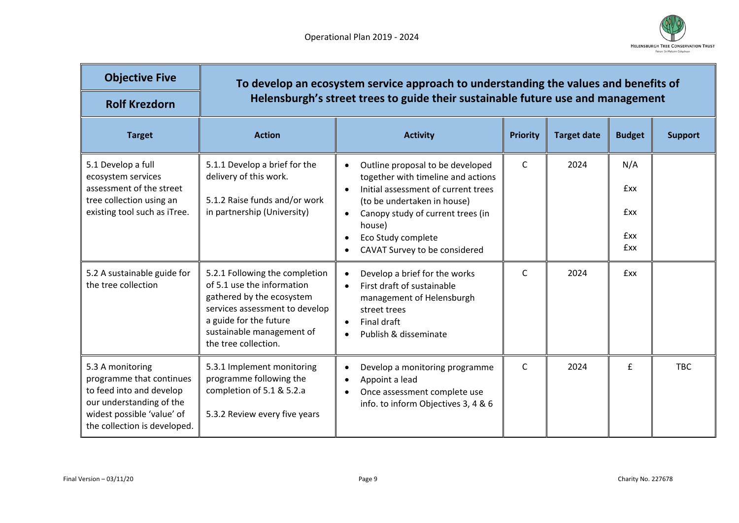

| <b>Objective Five</b><br><b>Rolf Krezdorn</b>                                                                                                                      |                                                                                                                                                                                                            | To develop an ecosystem service approach to understanding the values and benefits of<br>Helensburgh's street trees to guide their sustainable future use and management                                                                                                           |                 |                    |                                                      |                |  |  |  |
|--------------------------------------------------------------------------------------------------------------------------------------------------------------------|------------------------------------------------------------------------------------------------------------------------------------------------------------------------------------------------------------|-----------------------------------------------------------------------------------------------------------------------------------------------------------------------------------------------------------------------------------------------------------------------------------|-----------------|--------------------|------------------------------------------------------|----------------|--|--|--|
| <b>Target</b>                                                                                                                                                      | <b>Action</b>                                                                                                                                                                                              | <b>Activity</b>                                                                                                                                                                                                                                                                   | <b>Priority</b> | <b>Target date</b> | <b>Budget</b>                                        | <b>Support</b> |  |  |  |
| 5.1 Develop a full<br>ecosystem services<br>assessment of the street<br>tree collection using an<br>existing tool such as iTree.                                   | 5.1.1 Develop a brief for the<br>delivery of this work.<br>5.1.2 Raise funds and/or work<br>in partnership (University)                                                                                    | Outline proposal to be developed<br>$\bullet$<br>together with timeline and actions<br>Initial assessment of current trees<br>(to be undertaken in house)<br>Canopy study of current trees (in<br>$\bullet$<br>house)<br>Eco Study complete<br>٠<br>CAVAT Survey to be considered | $\mathsf{C}$    | 2024               | N/A<br><b>fxx</b><br><b>fxx</b><br><b>fxx</b><br>£xx |                |  |  |  |
| 5.2 A sustainable guide for<br>the tree collection                                                                                                                 | 5.2.1 Following the completion<br>of 5.1 use the information<br>gathered by the ecosystem<br>services assessment to develop<br>a guide for the future<br>sustainable management of<br>the tree collection. | Develop a brief for the works<br>$\bullet$<br>First draft of sustainable<br>$\bullet$<br>management of Helensburgh<br>street trees<br>Final draft<br>$\bullet$<br>Publish & disseminate                                                                                           | $\mathsf{C}$    | 2024               | <b>fxx</b>                                           |                |  |  |  |
| 5.3 A monitoring<br>programme that continues<br>to feed into and develop<br>our understanding of the<br>widest possible 'value' of<br>the collection is developed. | 5.3.1 Implement monitoring<br>programme following the<br>completion of 5.1 & 5.2.a<br>5.3.2 Review every five years                                                                                        | Develop a monitoring programme<br>$\bullet$<br>Appoint a lead<br>Once assessment complete use<br>$\bullet$<br>info. to inform Objectives 3, 4 & 6                                                                                                                                 | $\mathsf{C}$    | 2024               | £                                                    | <b>TBC</b>     |  |  |  |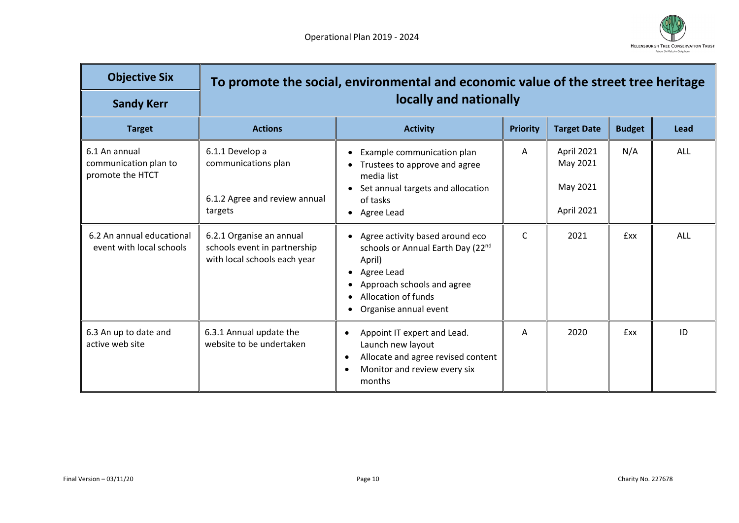

| <b>Objective Six</b><br><b>Sandy Kerr</b>                  |                                                                                          | To promote the social, environmental and economic value of the street tree heritage<br>locally and nationally                                                              |                 |                                                  |               |      |  |  |
|------------------------------------------------------------|------------------------------------------------------------------------------------------|----------------------------------------------------------------------------------------------------------------------------------------------------------------------------|-----------------|--------------------------------------------------|---------------|------|--|--|
| <b>Target</b>                                              | <b>Actions</b>                                                                           | <b>Activity</b>                                                                                                                                                            | <b>Priority</b> | <b>Target Date</b>                               | <b>Budget</b> | Lead |  |  |
| 6.1 An annual<br>communication plan to<br>promote the HTCT | 6.1.1 Develop a<br>communications plan<br>6.1.2 Agree and review annual<br>targets       | Example communication plan<br>Trustees to approve and agree<br>media list<br>Set annual targets and allocation<br>of tasks<br>Agree Lead                                   | A               | April 2021<br>May 2021<br>May 2021<br>April 2021 | N/A           | ALL  |  |  |
| 6.2 An annual educational<br>event with local schools      | 6.2.1 Organise an annual<br>schools event in partnership<br>with local schools each year | Agree activity based around eco<br>schools or Annual Earth Day (22nd<br>April)<br>Agree Lead<br>Approach schools and agree<br>Allocation of funds<br>Organise annual event | $\mathsf{C}$    | 2021                                             | £xx           | ALL  |  |  |
| 6.3 An up to date and<br>active web site                   | 6.3.1 Annual update the<br>website to be undertaken                                      | Appoint IT expert and Lead.<br>$\bullet$<br>Launch new layout<br>Allocate and agree revised content<br>$\bullet$<br>Monitor and review every six<br>$\bullet$<br>months    | A               | 2020                                             | <b>Exx</b>    | ID   |  |  |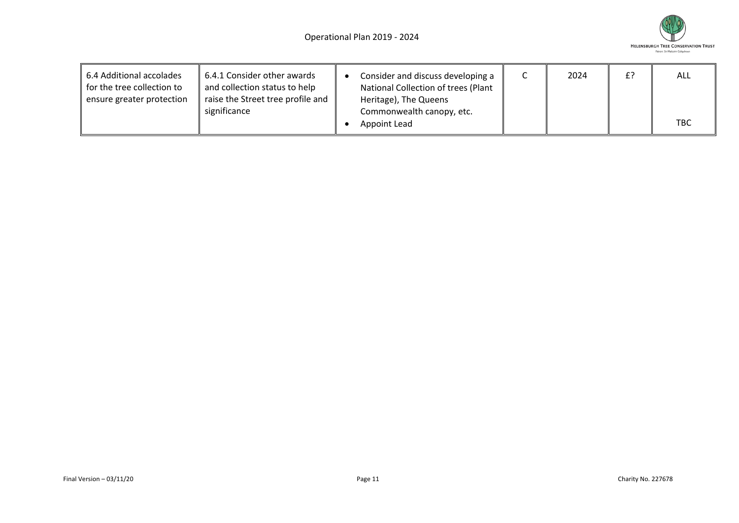

| 6.4 Additional accolades<br>for the tree collection to<br>ensure greater protection | 6.4.1 Consider other awards<br>and collection status to help<br>raise the Street tree profile and<br>significance | Consider and discuss developing a<br>National Collection of trees (Plant<br>Heritage), The Queens<br>Commonwealth canopy, etc. | 2024 | £? | ALL        |
|-------------------------------------------------------------------------------------|-------------------------------------------------------------------------------------------------------------------|--------------------------------------------------------------------------------------------------------------------------------|------|----|------------|
|                                                                                     |                                                                                                                   | Appoint Lead                                                                                                                   |      |    | <b>TBC</b> |